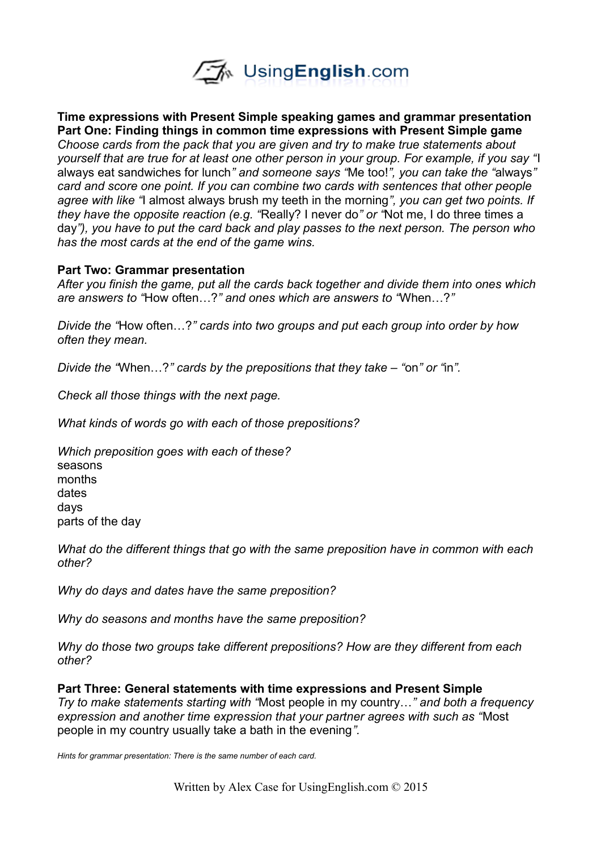

**Time expressions with Present Simple speaking games and grammar presentation Part One: Finding things in common time expressions with Present Simple game** *Choose cards from the pack that you are given and try to make true statements about yourself that are true for at least one other person in your group. For example, if you say "*I always eat sandwiches for lunch*" and someone says "*Me too!*", you can take the "*always*" card and score one point. If you can combine two cards with sentences that other people agree with like "*I almost always brush my teeth in the morning*", you can get two points. If they have the opposite reaction (e.g. "*Really? I never do*" or "*Not me, I do three times a day*"), you have to put the card back and play passes to the next person. The person who has the most cards at the end of the game wins.* 

## **Part Two: Grammar presentation**

*After you finish the game, put all the cards back together and divide them into ones which are answers to "*How often…?*" and ones which are answers to "*When…?*"*

*Divide the "*How often…?*" cards into two groups and put each group into order by how often they mean.*

*Divide the "*When…?*" cards by the prepositions that they take – "*on*" or "*in*".*

*Check all those things with the next page.* 

*What kinds of words go with each of those prepositions?*

*Which preposition goes with each of these?* seasons months dates days parts of the day

*What do the different things that go with the same preposition have in common with each other?*

*Why do days and dates have the same preposition?*

*Why do seasons and months have the same preposition?*

*Why do those two groups take different prepositions? How are they different from each other?*

**Part Three: General statements with time expressions and Present Simple** *Try to make statements starting with "*Most people in my country…*" and both a frequency expression and another time expression that your partner agrees with such as "*Most people in my country usually take a bath in the evening*".* 

*Hints for grammar presentation: There is the same number of each card.*

Written by Alex Case for UsingEnglish.com © 2015